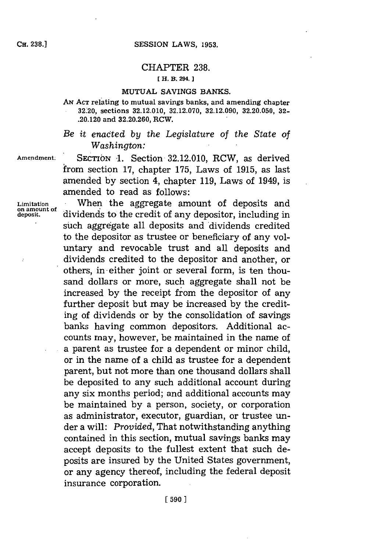# CHAPTER **238. [ H.** R. **294.**

#### **MUTUAL SAVINGS BANKS.**

**AN ACT relating to mutual savings banks, and amending chapter 32.' 20, sections 32.12.010, 32.12.070, 32.12.090, 32.20.050, 32- .20.120 and 32.20.260, RCW.**

*Be it enacted by the Legislature of the State of Washington:*

**Amendment.** SECTION **-1.** Section- **32.12.010,** RCW, as derived from. section **17,** chapter **175,** Laws of **1915,** as last amended **by** section 4, chapter **119,** Laws of 1949, is amended to read as follows:

**Limitation** .When the aggregate amount of deposits and **on amount of** dividends to the credit of any depositor, including in such aggregate all deposits and dividends credited to the depositor as trustee or beneficiary of any voluntary and revocable trust and all deposits and dividends credited to the depositor and another, or others, in either joint or several form, is ten thousand dollars or more, such aggregate shall not be increased **by** the receipt from the depositor of any further deposit but may be increased **by** the crediting of dividends or **by** the consolidation of savings banks having common depositors. Additional accounts may, however, be maintained in the name of a parent as trustee for a dependent or minor child, or in the name of a child as trustee for a dependent parent, but not more than one thousand dollars shall be deposited to any such additional account during any six months period; and additional accounts may be maintained **by** a person, society, or corporation as administrator, executor, guardian, or trustee under a will: *Provided,* That notwithstanding anything contained in this section, mutual savings banks may accept deposits to the fullest extent that such deposits are insured **by** the United States government, or any agency thereof, including the federal deposit insurance corporation.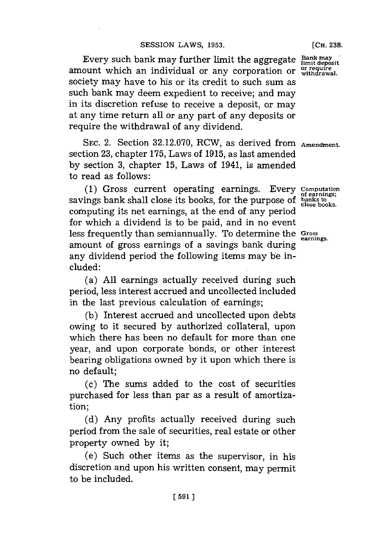Every such bank may further limit the aggregate  $\frac{Bank}{limit}$ amount which an individual or any corporation or withdrawal. society may have to his or its credit to such sum as such bank may deem expedient to receive; and may in its discretion refuse to receive a deposit, or may at any time return all or any part of any deposits or require the withdrawal of any dividend.

SEC. 2. Section 32.12.070, RCW, as derived from **Amendment.** section **23,** chapter **175,** Laws of **1915,** as last amended **by** section **3,** chapter **15,** Laws of 1941, is amended to read as follows:

**(1)** Gross current operating earnings. Every **Computation** savings bank shall close its books, for the purpose of banks to **close** books. computing its net earnings, at the end of any period for which a dividend is to be paid, and in no event less frequently than semiannually. To determine the **Gross** amount of gross earnings of a savings bank during any dividend period the following items may be included:

(a) **All** earnings actually received during such period, less interest accrued and uncollected included in the last previous calculation of earnings;

**(b)** Interest accrued and uncollected upon debts owing to it secured **by** authorized collateral, upon which there has been no default for more than one year, and upon corporate bonds, or other interest bearing obligations owned **by** it upon which there is no default;

(c) The sums added to the cost of securities purchased for less than par as a result of amortization;

**(d)** Any profits actually received during such period from the sale of securities, real estate or other property owned **by** it;

(e) Such other items as the supervisor, in his discretion and upon his written consent, may permit to be included.

**[CH. 238.**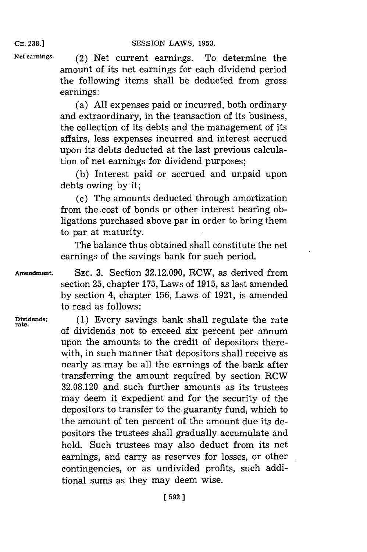**Net earnings.** (2) Net current earnings. To determine the amount of its net earnings for each dividend period the following items shall be deducted from gross earnings:

> (a) **All** expenses paid or incurred, both ordinary and extraordinary, in the transaction of its business, the collection of its debts and the management of its affairs, less expenses incurred and interest accrued upon its debts deducted at the last previous calculation of net earnings for dividend purposes;

> **(b)** Interest paid or accrued and unpaid upon debts owing **by** it;

> (c) The amounts deducted through amortization from the cost of bonds or other interest bearing obligations purchased above par in order to bring them to par at maturity.

> The balance thus obtained shall constitute the net earnings of the savings bank for such period.

> section **25,** chapter **175,** Laws of **1915,** as last amended **by** section 4, chapter **156,** Laws of **1921,** is amended

**Amendment. SEC. 3.** Section **32.12.090,** RCW, as derived from

to read as follows: Dividends; (1) Every savings bank shall regulate the rate of dividends not to exceed six percent per annum upon the amounts to the credit of depositors therewith, in such manner that depositors shall receive as nearly as may be all the earnings of the bank after transferring the amount required **by** section RCW **32.08.120** and such further amounts as its trustees may deem it expedient and for the security of the depositors to transfer to the guaranty fund, which to the amount of ten percent of the amount due its depositors the trustees shall gradually accumulate and hold. Such trustees may also deduct from its net earnings, and carry as reserves for losses, or other contingencies, or as undivided profits, such additional sums as they may deem wise.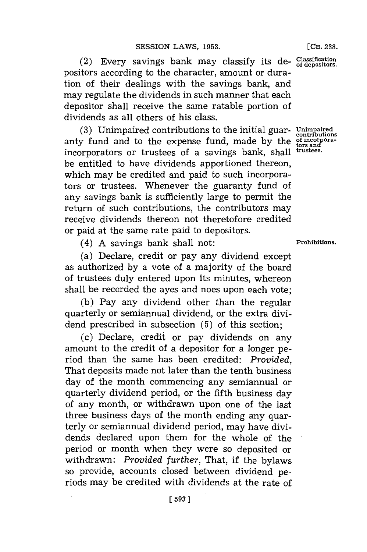(2) Every savings bank may classify its de-  $\frac{Classification}{of\ de\ positions.}$ positors according to the character, amount or duration of their dealings with the savings bank, and may regulate the dividends in such manner that each depositor shall receive the same ratable portion of dividends as all others of his class.

**(3)** Unimpaired contributions to the initial guar- **Unimpaired .ontributios** anty fund and to the expense fund, made by the **of incorpora**incorporators or trustees of a savings bank, shall trustees. be entitled to have dividends apportioned thereon, which may be credited and paid to such incorporators or trustees. Whenever the guaranty fund of any savings bank is sufficiently large to permit the return of such contributions, the contributors may receive dividends thereon not theretofore credited or paid at the same rate paid to depositors.

(4) **A** savings bank shall not: **Prohibitions.**

(a) Declare, credit or pay any dividend except as authorized **by** a vote of a majority of the board of trustees duly entered upon its minutes, whereon shall be recorded the ayes and noes upon each vote;

**(b)** Pay any dividend other than the regular quarterly or semiannual dividend, or the extra dividend prescribed in subsection **(5)** of this section;

(c) Declare, credit or pay dividends on any amount to the credit of a depositor for a longer period than the same has been credited: *Provided,* That deposits made not later than the tenth business day of the month commencing any semiannual or quarterly dividend period, or the fifth business day of any month, or withdrawn upon one of the last three business days of the month ending any quarterly or semiannual dividend period, may have dividends declared upon them for the whole of the period or month when they were so deposited or withdrawn: *Provided further,* That, if the bylaws so provide, accounts closed between dividend periods may be credited with dividends at the rate of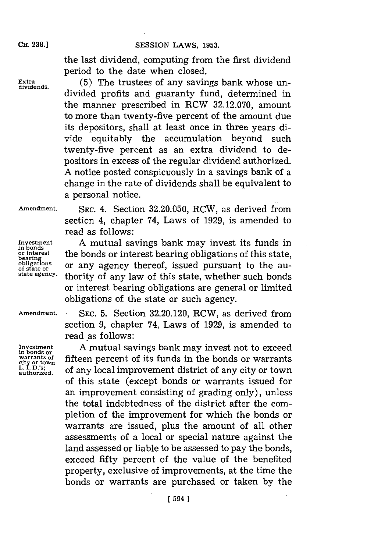## **SESSION LAWS, 1953.**

the last dividend, computing from the first dividend period to the date when closed.

Extra (5) The trustees of any savings bank whose undivided profits and guaranty fund, determined in the manner prescribed in RCW **32.12.070,** amount to more than twenty-five percent of the amount due its depositors, shall at least once in three years divide equitably the accumulation beyond such twenty-five percent as an extra dividend to depositors in excess of the regular dividend authorized. **A** notice posted conspicuously in a savings bank of a change in the rate of dividends shall be equivalent to a personal notice.

**Amendment. SEC.** 4. Section **32.20.050,** RCW, as derived from section 4, chapter 74, Laws of **1929,** is amended to read as follows:

**Investmient A** mutual savings bank may invest its funds in or interest<br>bearing obligations of this state,<br>**bearing**<br>obligations or any agency thereof issued pursuant to the au**obligations** or any agency thereof, issued pursuant to the au**state agency.** thority of any law of this state, whether such bonds or interest bearing obligations are general or limited obligations of the state or such agency.

Investment<br>in bonds or **city or town**

**Amendment. SEC. 5.** Section **32.20.120,** RCW, as derived from section **9,** chapter 74, Laws of **1929,** is amended to read as follows:

A mutual savings bank may invest not to exceed **warrants of** fifteen percent of its funds in the bonds or warrants L. I. D.'s; of any local improvement district of any city or town of this state (except bonds or warrants issued for an improvement consisting of grading only), unless the total indebtedness of the district after the completion of the improvement for which the bonds or warrants are issued, plus the amount of all other assessments of a local or special nature against the land assessed or liable to be assessed to pay the bonds, exceed fifty percent of the value of the benefited property, exclusive of improvements, at the time the bonds or warrants are purchased or taken **by** the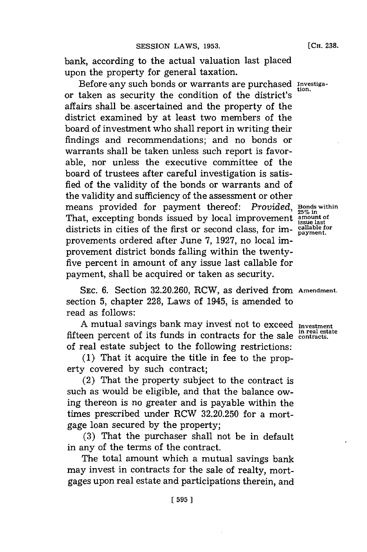bank, according to the actual valuation last placed upon the property for general taxation.

Before 'any such bonds or warrants are purchased **investiga**or taken as security the condition of the district's affairs shall be ascertained and the property of the district examined **by** at least two members of the board of investment who shall report in writing their findings and recommendations; and no bonds or warrants shall be taken unless such report is favorable, nor unless the executive committee of the board of trustees after careful investigation is satisfied of the validity of the bonds or warrants and of the validity and sufficiency of the assessment or other means provided for payment thereof: *Provided*, Bonds within That, excepting bonds issued by local improvement  $\frac{1}{1000}$  issue last districts in cities of the first or second class, for im- **callable** for provements ordered after June **7, 1927,** no local improvement district bonds falling within the twentyfive percent in amount of any issue last callable for payment, shall be acquired or taken as security.

**SEC. 6.** Section **32.20.260,** RCW, as derived from **Amendment.** section **5,** chapter **228,** Laws of 1945, is amended to read as follows:

**A** mutual savings bank may invest not to exceed **Investment in real estate** fifteen percent of its funds in contracts for the sale **contracts.** of real estate subject to the following restrictions:

**(1)** That it acquire the title in fee to the property covered **by** such contract;

(2) That the property subject to the contract is such as would be eligible, and that the balance owing thereon is no greater and is payable within the times prescribed under RCW **32.20.250** for a mortgage loan secured **by** the property;

**(3)** That the purchaser shall not be in default in any of the terms of the contract.

The total amount which a mutual savings bank may invest in contracts for the sale of realty, mortgages upon real estate and participations therein, and

**[ 595]1**